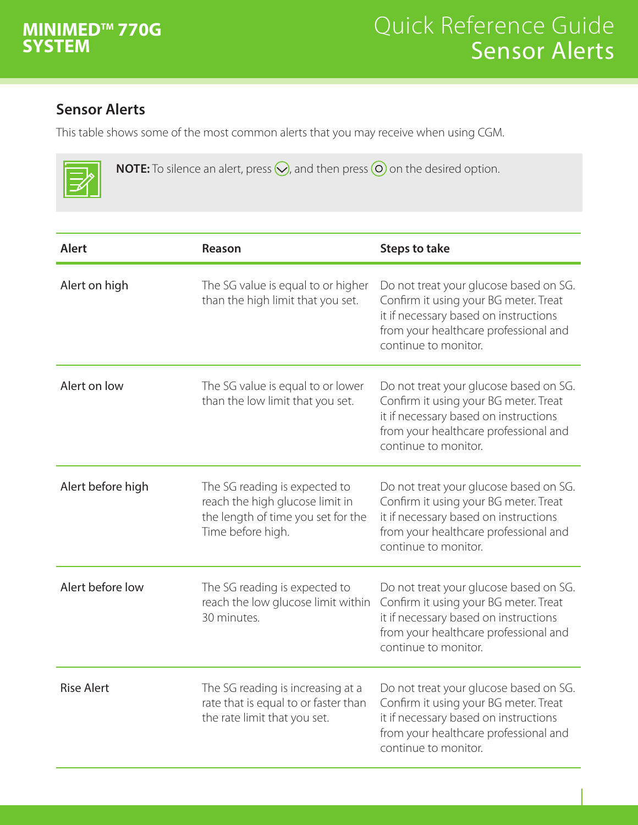

## **Sensor Alerts**

This table shows some of the most common alerts that you may receive when using CGM.

| <b>NOTE:</b> To silence an alert, press $\bigotimes$ , and then press $\bigcirc$ on the desired option. |
|---------------------------------------------------------------------------------------------------------|
|---------------------------------------------------------------------------------------------------------|

| <b>Alert</b>      | <b>Reason</b>                                                                                                               | <b>Steps to take</b>                                                                                                                                                                      |
|-------------------|-----------------------------------------------------------------------------------------------------------------------------|-------------------------------------------------------------------------------------------------------------------------------------------------------------------------------------------|
| Alert on high     | The SG value is equal to or higher<br>than the high limit that you set.                                                     | Do not treat your glucose based on SG.<br>Confirm it using your BG meter. Treat<br>it if necessary based on instructions<br>from your healthcare professional and<br>continue to monitor. |
| Alert on low      | The SG value is equal to or lower<br>than the low limit that you set.                                                       | Do not treat your glucose based on SG.<br>Confirm it using your BG meter. Treat<br>it if necessary based on instructions<br>from your healthcare professional and<br>continue to monitor. |
| Alert before high | The SG reading is expected to<br>reach the high glucose limit in<br>the length of time you set for the<br>Time before high. | Do not treat your glucose based on SG.<br>Confirm it using your BG meter. Treat<br>it if necessary based on instructions<br>from your healthcare professional and<br>continue to monitor. |
| Alert before low  | The SG reading is expected to<br>reach the low glucose limit within<br>30 minutes.                                          | Do not treat your glucose based on SG.<br>Confirm it using your BG meter. Treat<br>it if necessary based on instructions<br>from your healthcare professional and<br>continue to monitor. |
| <b>Rise Alert</b> | The SG reading is increasing at a<br>rate that is equal to or faster than<br>the rate limit that you set.                   | Do not treat your glucose based on SG.<br>Confirm it using your BG meter. Treat<br>it if necessary based on instructions<br>from your healthcare professional and<br>continue to monitor. |